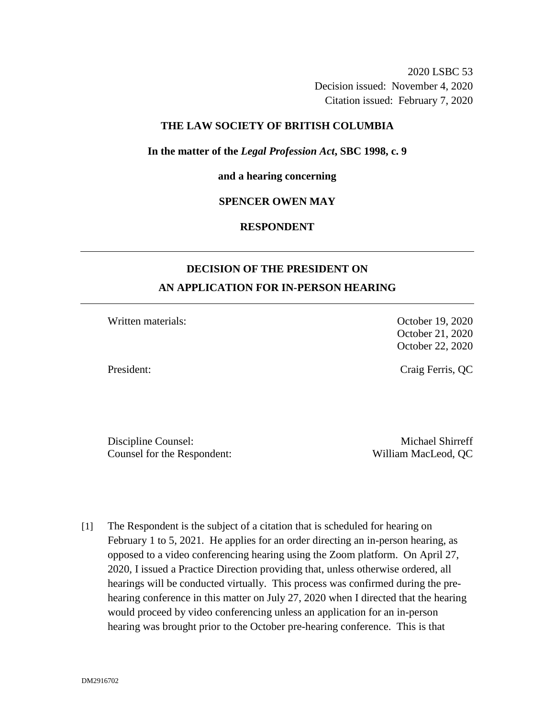2020 LSBC 53 Decision issued: November 4, 2020 Citation issued: February 7, 2020

#### **THE LAW SOCIETY OF BRITISH COLUMBIA**

**In the matter of the** *Legal Profession Act***, SBC 1998, c. 9** 

#### **and a hearing concerning**

### **SPENCER OWEN MAY**

## **RESPONDENT**

# **DECISION OF THE PRESIDENT ON AN APPLICATION FOR IN-PERSON HEARING**

Written materials: Contraction Contraction Contraction Contraction Contraction October 19, 2020

October 21, 2020 October 22, 2020

President: Craig Ferris, QC

Discipline Counsel: Michael Shirreff Counsel for the Respondent: William MacLeod, QC

[1] The Respondent is the subject of a citation that is scheduled for hearing on February 1 to 5, 2021. He applies for an order directing an in-person hearing, as opposed to a video conferencing hearing using the Zoom platform. On April 27, 2020, I issued a Practice Direction providing that, unless otherwise ordered, all hearings will be conducted virtually. This process was confirmed during the prehearing conference in this matter on July 27, 2020 when I directed that the hearing would proceed by video conferencing unless an application for an in-person hearing was brought prior to the October pre-hearing conference. This is that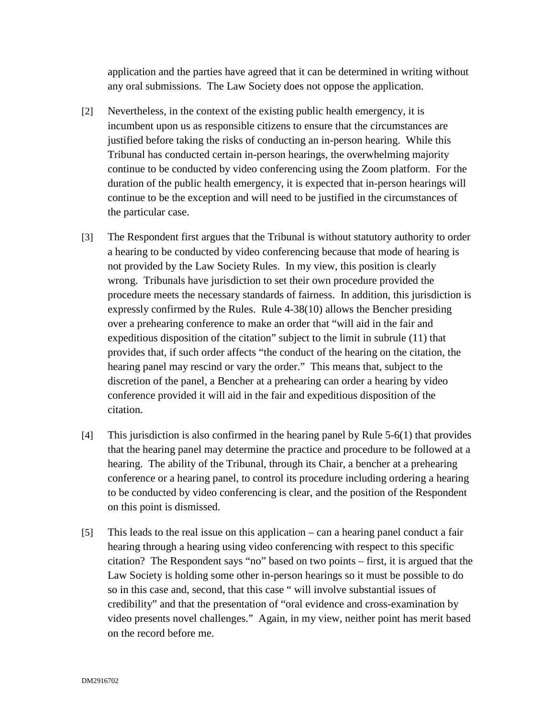application and the parties have agreed that it can be determined in writing without any oral submissions. The Law Society does not oppose the application.

- [2] Nevertheless, in the context of the existing public health emergency, it is incumbent upon us as responsible citizens to ensure that the circumstances are justified before taking the risks of conducting an in-person hearing. While this Tribunal has conducted certain in-person hearings, the overwhelming majority continue to be conducted by video conferencing using the Zoom platform. For the duration of the public health emergency, it is expected that in-person hearings will continue to be the exception and will need to be justified in the circumstances of the particular case.
- [3] The Respondent first argues that the Tribunal is without statutory authority to order a hearing to be conducted by video conferencing because that mode of hearing is not provided by the Law Society Rules. In my view, this position is clearly wrong. Tribunals have jurisdiction to set their own procedure provided the procedure meets the necessary standards of fairness. In addition, this jurisdiction is expressly confirmed by the Rules. Rule 4-38(10) allows the Bencher presiding over a prehearing conference to make an order that "will aid in the fair and expeditious disposition of the citation" subject to the limit in subrule (11) that provides that, if such order affects "the conduct of the hearing on the citation, the hearing panel may rescind or vary the order." This means that, subject to the discretion of the panel, a Bencher at a prehearing can order a hearing by video conference provided it will aid in the fair and expeditious disposition of the citation.
- [4] This jurisdiction is also confirmed in the hearing panel by Rule 5-6(1) that provides that the hearing panel may determine the practice and procedure to be followed at a hearing. The ability of the Tribunal, through its Chair, a bencher at a prehearing conference or a hearing panel, to control its procedure including ordering a hearing to be conducted by video conferencing is clear, and the position of the Respondent on this point is dismissed.
- [5] This leads to the real issue on this application can a hearing panel conduct a fair hearing through a hearing using video conferencing with respect to this specific citation? The Respondent says "no" based on two points – first, it is argued that the Law Society is holding some other in-person hearings so it must be possible to do so in this case and, second, that this case " will involve substantial issues of credibility" and that the presentation of "oral evidence and cross-examination by video presents novel challenges." Again, in my view, neither point has merit based on the record before me.